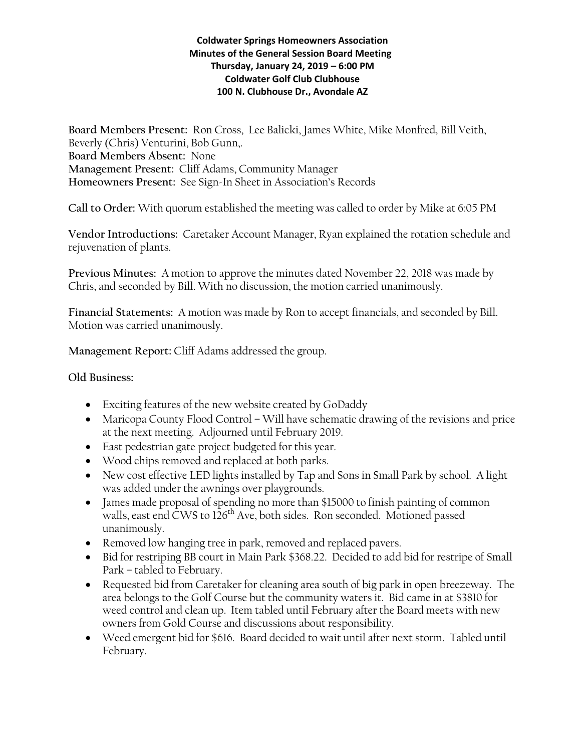## **Coldwater Springs Homeowners Association Minutes of the General Session Board Meeting Thursday, January 24, 2019 – 6:00 PM Coldwater Golf Club Clubhouse 100 N. Clubhouse Dr., Avondale AZ**

**Board Members Present:** Ron Cross, Lee Balicki, James White, Mike Monfred, Bill Veith, Beverly (Chris) Venturini, Bob Gunn,. **Board Members Absent:** None **Management Present:** Cliff Adams, Community Manager **Homeowners Present:** See Sign-In Sheet in Association's Records

**Call to Order:** With quorum established the meeting was called to order by Mike at 6:05 PM

**Vendor Introductions:** Caretaker Account Manager, Ryan explained the rotation schedule and rejuvenation of plants.

**Previous Minutes:** A motion to approve the minutes dated November 22, 2018 was made by Chris, and seconded by Bill. With no discussion, the motion carried unanimously.

**Financial Statements:** A motion was made by Ron to accept financials, and seconded by Bill. Motion was carried unanimously.

**Management Report:** Cliff Adams addressed the group.

## **Old Business:**

- Exciting features of the new website created by GoDaddy
- Maricopa County Flood Control Will have schematic drawing of the revisions and price at the next meeting. Adjourned until February 2019.
- East pedestrian gate project budgeted for this year.
- Wood chips removed and replaced at both parks.
- New cost effective LED lights installed by Tap and Sons in Small Park by school. A light was added under the awnings over playgrounds.
- James made proposal of spending no more than \$15000 to finish painting of common walls, east end CWS to 126<sup>th</sup> Ave, both sides. Ron seconded. Motioned passed unanimously.
- Removed low hanging tree in park, removed and replaced pavers.
- Bid for restriping BB court in Main Park \$368.22. Decided to add bid for restripe of Small Park – tabled to February.
- Requested bid from Caretaker for cleaning area south of big park in open breezeway. The area belongs to the Golf Course but the community waters it. Bid came in at \$3810 for weed control and clean up. Item tabled until February after the Board meets with new owners from Gold Course and discussions about responsibility.
- Weed emergent bid for \$616. Board decided to wait until after next storm. Tabled until February.